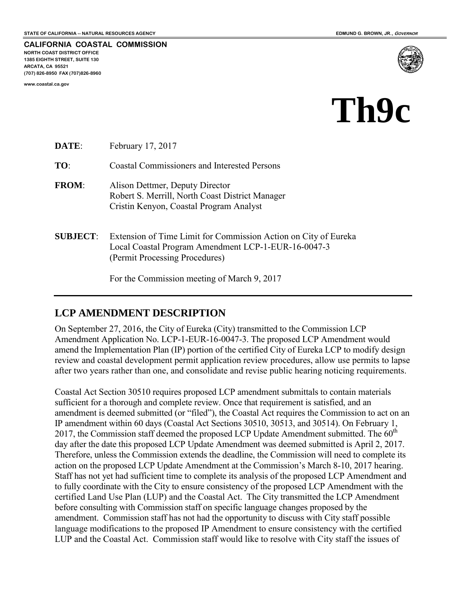**CALIFORNIA COASTAL COMMISSION NORTH COAST DISTRICT OFFICE 1385 EIGHTH STREET, SUITE 130 ARCATA, CA 95521 (707) 826-8950 FAX (707)826-8960** 

**www.coastal.ca.gov** 



# **Th9c**

| DATE:           | February 17, 2017                                                                                                                                        |
|-----------------|----------------------------------------------------------------------------------------------------------------------------------------------------------|
| TO:             | <b>Coastal Commissioners and Interested Persons</b>                                                                                                      |
| <b>FROM:</b>    | Alison Dettmer, Deputy Director<br>Robert S. Merrill, North Coast District Manager<br>Cristin Kenyon, Coastal Program Analyst                            |
| <b>SUBJECT:</b> | Extension of Time Limit for Commission Action on City of Eureka<br>Local Coastal Program Amendment LCP-1-EUR-16-0047-3<br>(Permit Processing Procedures) |

For the Commission meeting of March 9, 2017

## **LCP AMENDMENT DESCRIPTION**

On September 27, 2016, the City of Eureka (City) transmitted to the Commission LCP Amendment Application No. LCP-1-EUR-16-0047-3. The proposed LCP Amendment would amend the Implementation Plan (IP) portion of the certified City of Eureka LCP to modify design review and coastal development permit application review procedures, allow use permits to lapse after two years rather than one, and consolidate and revise public hearing noticing requirements.

Coastal Act Section 30510 requires proposed LCP amendment submittals to contain materials sufficient for a thorough and complete review. Once that requirement is satisfied, and an amendment is deemed submitted (or "filed"), the Coastal Act requires the Commission to act on an IP amendment within 60 days (Coastal Act Sections 30510, 30513, and 30514). On February 1, 2017, the Commission staff deemed the proposed LCP Update Amendment submitted. The  $60<sup>th</sup>$ day after the date this proposed LCP Update Amendment was deemed submitted is April 2, 2017. Therefore, unless the Commission extends the deadline, the Commission will need to complete its action on the proposed LCP Update Amendment at the Commission's March 8-10, 2017 hearing. Staff has not yet had sufficient time to complete its analysis of the proposed LCP Amendment and to fully coordinate with the City to ensure consistency of the proposed LCP Amendment with the certified Land Use Plan (LUP) and the Coastal Act. The City transmitted the LCP Amendment before consulting with Commission staff on specific language changes proposed by the amendment. Commission staff has not had the opportunity to discuss with City staff possible language modifications to the proposed IP Amendment to ensure consistency with the certified LUP and the Coastal Act. Commission staff would like to resolve with City staff the issues of